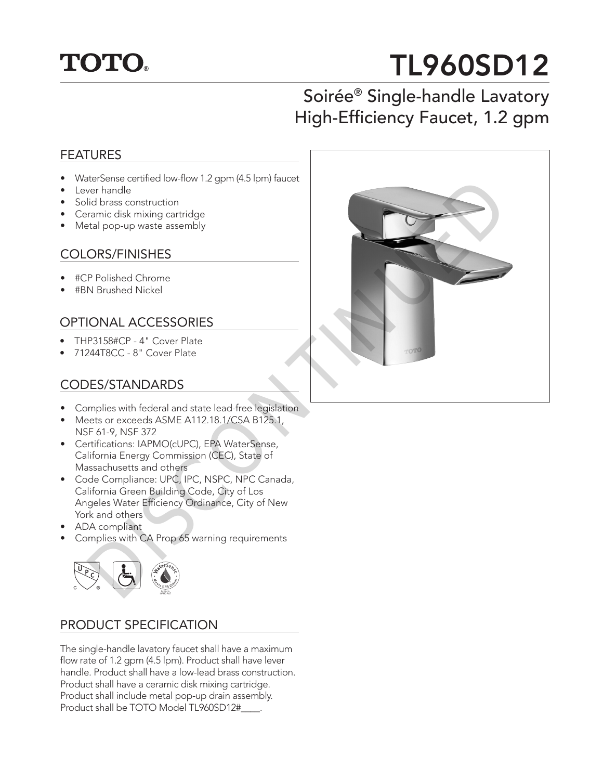

# TL960SD12

## Soirée® Single-handle Lavatory High-Efficiency Faucet, 1.2 gpm

#### FEATURES

- WaterSense certified low-flow 1.2 gpm (4.5 lpm) faucet
- Lever handle
- Solid brass construction
- Ceramic disk mixing cartridge
- Metal pop-up waste assembly

#### COLORS/FINISHES

- #CP Polished Chrome
- #BN Brushed Nickel

### OPTIONAL ACCESSORIES

- THP3158#CP 4" Cover Plate
- 71244T8CC 8" Cover Plate

#### CODES/STANDARDS

- Complies with federal and state lead-free legislation
- Meets or exceeds ASME A112.18.1/CSA B125.1, NSF 61-9, NSF 372
- Certifications: IAPMO(cUPC), EPA WaterSense, California Energy Commission (CEC), State of Massachusetts and others
- Code Compliance: UPC, IPC, NSPC, NPC Canada, California Green Building Code, City of Los Angeles Water Efficiency Ordinance, City of New York and others
- ADA compliant
- Complies with CA Prop 65 warning requirements



#### PRODUCT SPECIFICATION

The single-handle lavatory faucet shall have a maximum flow rate of 1.2 gpm (4.5 lpm). Product shall have lever handle. Product shall have a low-lead brass construction. Product shall have a ceramic disk mixing cartridge. Product shall include metal pop-up drain assembly. Product shall be TOTO Model TL960SD12#\_\_\_\_.